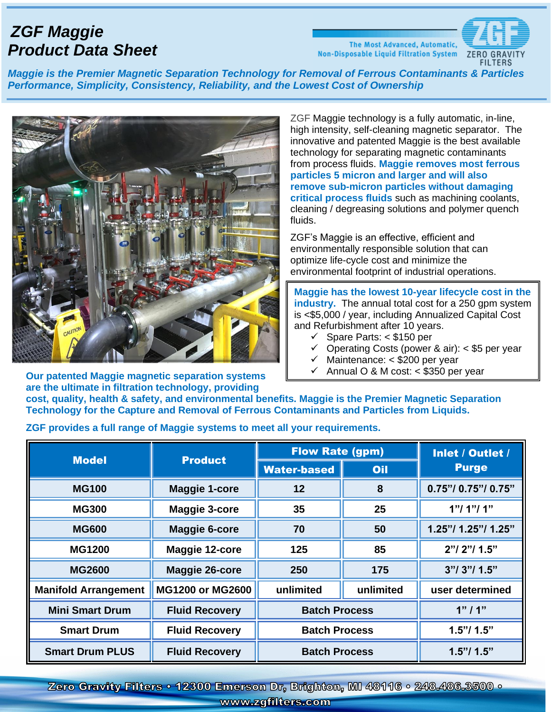## *ZGF Maggie Product Data Sheet*

The Most Advanced, Automatic, Non-Disposable Liquid Filtration System ZERO



*Maggie is the Premier Magnetic Separation Technology for Removal of Ferrous Contaminants & Particles Performance, Simplicity, Consistency, Reliability, and the Lowest Cost of Ownership*



ZGF Maggie technology is a fully automatic, in-line, high intensity, self-cleaning magnetic separator. The innovative and patented Maggie is the best available technology for separating magnetic contaminants from process fluids. **Maggie removes most ferrous particles 5 micron and larger and will also remove sub-micron particles without damaging critical process fluids** such as machining coolants, cleaning / degreasing solutions and polymer quench fluids.

ZGF's Maggie is an effective, efficient and environmentally responsible solution that can optimize [life-cycle cost](https://www.zgfilters.com/uploads/ZGF%20Maggie%2010%20year%20Lifecycle.xlsx) and minimize the environmental footprint of industrial operations.

**Maggie has the lowest 10-year lifecycle cost in the industry.** The annual total cost for a 250 gpm system is <\$5,000 / year, including Annualized Capital Cost and Refurbishment after 10 years.

- ✓ Spare Parts: < \$150 per
- $\checkmark$  Operating Costs (power & air): < \$5 per year
- $\checkmark$  Maintenance: < \$200 per year
- Annual O & M cost: < \$350 per year

**are the ultimate in filtration technology, providing cost, quality, health & safety, and environmental benefits. Maggie is the Premier Magnetic Separation Technology for the Capture and Removal of Ferrous Contaminants and Particles from Liquids.** 

✓

**ZGF provides a full range of Maggie systems to meet all your requirements.**

| <b>Model</b>                | <b>Product</b>        | <b>Flow Rate (gpm)</b> |           | Inlet / Outlet /    |
|-----------------------------|-----------------------|------------------------|-----------|---------------------|
|                             |                       | <b>Water-based</b>     | Oil       | <b>Purge</b>        |
| <b>MG100</b>                | <b>Maggie 1-core</b>  | 12                     | 8         | 0.75"/ 0.75"/ 0.75" |
| <b>MG300</b>                | Maggie 3-core         | 35                     | 25        | 1"1'1"1'1"          |
| <b>MG600</b>                | <b>Maggie 6-core</b>  | 70                     | 50        | 1.25"/ 1.25"/ 1.25" |
| <b>MG1200</b>               | Maggie 12-core        | 125                    | 85        | $2"$ / $2"$ / 1.5"  |
| <b>MG2600</b>               | <b>Maggie 26-core</b> | 250                    | 175       | 3"1'3"1'1.5"        |
| <b>Manifold Arrangement</b> | MG1200 or MG2600      | unlimited              | unlimited | user determined     |
| <b>Mini Smart Drum</b>      | <b>Fluid Recovery</b> | <b>Batch Process</b>   |           | 1"11"               |
| <b>Smart Drum</b>           | <b>Fluid Recovery</b> | <b>Batch Process</b>   |           | 1.5"/ 1.5"          |
| <b>Smart Drum PLUS</b>      | <b>Fluid Recovery</b> | <b>Batch Process</b>   |           | 1.5"/ 1.5"          |

Zero Gravity Filters • 12300 Emerson Dr, Brighton, MI 48116 • 248.486.3500 • www.zgfilters.com